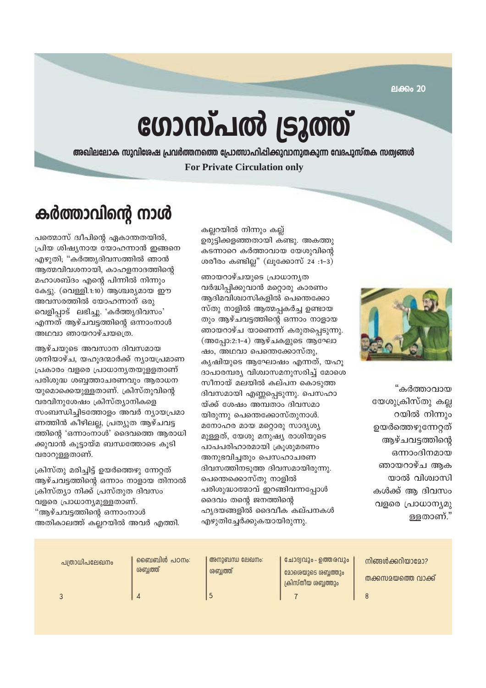ലക്കം 20

# ഗോസ്പൽ ട്രൂത്ത്

അഖിലലോക സുവിശേഷ പ്രവർത്തനത്തെ പ്രോത്സാഹിപ്പിക്കുവാനുതകുന്ന വേദപുസ്തക സത്വങ്ങൾ **For Private Circulation only** 

## കർത്താവിന്റെ നാൾ

പത്മൊസ് ദ്വീപിന്റെ ഏകാന്തതയിൽ, പ്രിയ ശിഷ്യനായ യോഹന്നാൻ ഇങ്ങനെ എഴുതി; "കർത്തൃദിവസത്തിൽ ഞാൻ ആത്മവിവശനായി, കാഹളനാദത്തിന്റെ മഹാശബ്ദം എന്റെ പിന്നിൽ നിന്നും കേട്ടു. (വെള്ളി.1:10) ആശ്ചര്യമായ ഈ അവസരത്തിൽ യോഹന്നാന് ഒരു വെളിപ്പാട് ലഭിച്ചു. 'കർത്തൃദിവസം' എന്നത് ആഴ്ചവട്ടത്തിന്റെ ഒന്നാംനാൾ അഥവാ ഞായറാഴ്ചയത്രെ.

ആഴ്ചയുടെ അവസാന ദിവസമായ ശനിയാഴ്ച, യഹൂദന്മാർക്ക് ന്യായപ്രമാണ പ്രകാരം വളരെ പ്രാധാനൃതയുളളതാണ് പരിശുദ്ധ ശബ്ദത്താചരണവും ആരാധന യുമൊക്കെയുള്ളതാണ്. ക്രിസ്തുവിന്റെ വരവിനുശേഷം ക്രിസ്ത്യാനികളെ സംബന്ധിച്ചിടത്തോളം അവർ ന്യായപ്രമാ ണത്തിൻ കീഴിലല്ല, പ്രത്യുത ആഴ്ചവട്ട ത്തിന്റെ 'ഒന്നാംനാൾ' ദൈവത്തെ ആരാധി ക്കുവാൻ കൂട്ടായ്മ ബന്ധത്തോടെ കൂടി വരാറുള്ളതാണ്.

ക്രിസ്തു മരിച്ചിട്ട് ഉയർത്തെഴു ന്നേറ്റത് ആഴ്ചവട്ടത്തിന്റെ ഒന്നാം നാളായ തിനാൽ ക്രിസ്ത്യാ നിക്ക് പ്രസ്തുത ദിവസം വളരെ പ്രാധാന്യമുള്ളതാണ്. "ആഴ്ചവട്ടത്തിന്റെ ഒന്നാംനാൾ അതികാലത്ത് കല്ലറയിൽ അവർ എത്തി.

കല്ലറയിൽ നിന്നും കല്ല് ഉരുട്ടിക്കളഞ്ഞതായി കണ്ടു. അകത്തു കടന്നാറെ കർത്താവായ യേശുവിന്റെ ശരീരം കണ്ടില്ല" (ലൂക്കോസ് 24 :1-3)

ഞായറാഴ്ചയുടെ പ്രാധാനൃത വർദ്ധിപ്പിക്കുവാൻ മറ്റൊരു കാരണം ആദിമവിശ്വാസികളിൽ പെന്തെക്കോ സ്തു നാളിൽ ആത്മപ്പകർച്ച ഉണ്ടായ തും ആഴ്ചവട്ടത്തിന്റെ ഒന്നാം നാളായ ഞായറാഴ്ച യാണെന്ന് കരുതപ്പെടുന്നു. (അപ്പോ:2:1-4) ആഴ്ചകളുടെ ആഘോ ഷം, അഥവാ പെന്തെക്കോസ്തു, കൃഷിയുടെ ആഘോഷം എന്നത്, യഹൂ ദാപാരമ്പര്യ വിശ്വാസമനുസരിച്ച് മോശെ സീനായ് മലയിൽ കല്പന കൊടുത്ത ദിവസമായി എണ്ണപ്പെടുന്നു. പെസഹാ യ്ക്ക് ശേഷം അമ്പതാം ദിവസമാ യിരുന്നു പെന്തെക്കോസ്തുനാൾ. മനോഹര മായ മറ്റൊരു സാദൃശ്യ മുള്ളത്, യേശു മനുഷ്യ രാശിയുടെ പാപപരിഹാരമായി ക്രുശുമരണം അനുഭവിച്ചതും പെസഹാചരണ ദിവസത്തിനടുത്ത ദിവസമായിരുന്നു. പെന്തെക്കൊസ്തു നാളിൽ പരിശുദ്ധാത്മാവ് ഇറങ്ങിവന്നപ്പോൾ ദൈവം തന്റെ ജനത്തിന്റെ ഹൃദയങ്ങളിൽ ദൈവീക കല്പനകൾ എഴുതിച്ചേർക്കുകയായിരുന്നു.



"കർത്താവായ യേശുക്രിസ്തു കല്ല റയിൽ നിന്നും ഉയർത്തെഴുന്നേറ്റത് ആഴ്ചവട്ടത്തിന്റെ ഒന്നാംദിനമായ ഞായറാഴ്ച അക യാൽ വിശ്വാസി കൾക്ക് അ ദിവസം വളരെ പ്രാധാന്യമു ള്ളതാണ്."

| പത്രാധിപലേഖനം | _രൈബബിൾ പഠനം:<br>ശബ്ബത്ത് | അനുബന്ധ ലേഖനം:<br>ശബ്ബത്ത് | ചോദ്യവും - ഉത്തരവും<br>മോരെയുടെ ശബ്ബത്തും<br>ക്രിസ്തീയ ശബ്ബത്തും | നിങ്ങൾക്കറിയാമോ?<br>തക്കസമയത്തെ വാക്ക് |
|---------------|---------------------------|----------------------------|------------------------------------------------------------------|----------------------------------------|
|               |                           |                            |                                                                  |                                        |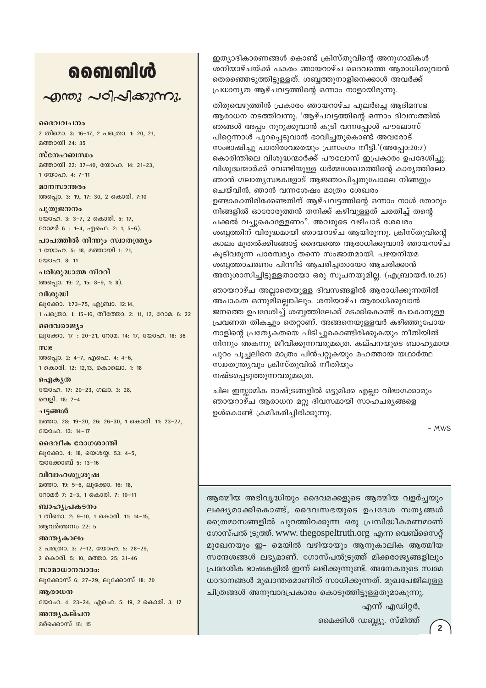## வைவிൾ  $\sim$ ฏกอง  $\sim$ อา $\sim$ ใ $\approx$ งสวงกาง.

ദൈവവചനം 2 തിമൊ. 3: 16-17, 2 പത്രൊ. 1: 20, 21, മത്തായി 24: 35

സ്നേഹബന്ധം മത്തായി 22: 37-40, യോഹ. 14: 21-23, 1 WOOD. 4: 7-11

മാനസാന്തരം അപ്പൊ. 3: 19, 17: 30, 2 കൊരി. 7:10

പൂതുജനനം യോഹ. 3: 3-7, 2 കൊരി. 5: 17, റോമർ 6: 1-4, എഫെ. 2: 1, 5-6).

പാപത്തിൽ നിന്നും സ്വാതന്ത്ര്യം 1 യോഹ. 5: 18, മത്തായി 1: 21,  $2000000811$ 

പരിശുദ്ധാത്മ നിറവ് അപ്പൊ. 19: 2, 15: 8-9, 1: 8).

വിശുദ്ധി ലൂക്കോ. 1:73-75, എബ്രാ. 12:14, 1 പക്രൊ. 1: 15-16, തീത്തോ. 2: 11, 12, റോമ. 6: 22

ദൈവരാജ്യം ലൂക്കോ. 17: 20-21, റോമ. 14: 17, യോഹ. 18: 36 mue

അപ്പൊ. 2: 4-7, എഫെ. 4: 4-6, 1 കൊരി. 12: 12,13, കൊലൊ. 1: 18

வெிக் (ல യോഹ. 17: 20-23, ഗലാ. 3: 28, വെളി. 18: 2-4

ചട്ടങ്ങൾ മത്താ. 28: 19-20, 26: 26-30, 1 കൊരി. 11: 23-27, **COOOO.** 13: 14-17

ദൈവീക രോഗശാന്തി ലൂക്കോ. 4: 18, യെശയ്യ. 53: 4-5, യാക്കോബ് 5: 13-16

വിവാഹശുശ്രൂഷ മത്താ. 19: 5-6, ലൂക്കോ. 16: 18, റോമർ 7: 2-3, 1 കൊരി. 7: 10-11

ബാഹൃപ്രകടനം 1 തിമൊ. 2: 9-10, 1 കൊരി. 11: 14-15, ആവർത്തനം 22: 5

അന്ത്യകാലം 2 പത്രൊ. 3: 7-12, യോഹ. 5: 28-29, 2 കൊരി. 5: 10, മത്താ. 25: 31-46

സാമാധാനവാദം: ലൂക്കോസ് 6: 27-29, ലൂക്കോസ് 18: 20

ആരാധന യോഹ. 4: 23-24, എഫെ. 5: 19, 2 കൊരി. 3: 17

അനുകല്പന മർക്കൊസ് 16: 15 ഇത്യാദികാരണങ്ങൾ കൊണ്ട് ക്രിസ്തുവിന്റെ അനുഗാമികൾ ശനിയാഴ്ചയ്ക്ക് പകരം ഞായറാഴ്ച ദൈവത്തെ അരാധിക്കുവാൻ തെരഞ്ഞെടുത്തിട്ടുള്ളത്. ശബ്ബത്തുനാളിനെക്കാൾ അവർക്ക് പ്രധാന്യത ആഴ്ചവട്ടത്തിന്റെ ഒന്നാം നാളായിരുന്നു.

തിരുവെഴുത്തിൻ പ്രകാരം ഞായറാഴ്ച പുലർച്ചെ ആദിമസഭ ആരാധന നടത്തിവന്നു. 'ആഴ്ചവട്ടത്തിന്റെ ഒന്നാം ദിവസത്തിൽ ഞങ്ങൾ അപ്പം നുറുക്കുവാൻ കൂടി വന്നപ്പോൾ പൗലോസ് പിറ്റെന്നാൾ പുറപ്പെടുവാൻ ഭാവിച്ചതുകൊണ്ട് അവരോട് സംഭാഷിച്ചു പാതിരാവരെയും പ്രസംഗം നീട്ടി.'(അപ്പോ:20:7) കൊരിന്തിലെ വിശുദ്ധന്മാർക്ക് പൗലോസ് ഇപ്രകാരം ഉപദേശിച്ചു: വിശുദ്ധന്മാർക്ക് വേണ്ടിയുള്ള ധർമ്മശേഖരത്തിന്റെ കാര്യത്തിലോ ഞാൻ ഗലാത്യസഭകളോട് ആജ്ഞാപിച്ചതുപോലെ നിങ്ങളും ചെയ്വിൻ, ഞാൻ വന്നശേഷം മാത്രം ശേഖരം ഉണ്ടാകാതിരിക്കേണ്ടതിന് ആഴ്ചവട്ടത്തിന്റെ ഒന്നാം നാൾ തോറും നിങ്ങളിൽ ഓരോരുത്തൻ തനിക്ക് കഴിവുള്ളത് ചരതിച്ച് തന്റെ പക്കൽ വച്ചുകൊള്ളേണം". അവരുടെ വഴിപാട് ശേഖരം ശബ്ദത്തിന് വിരുദ്ധമായി ഞായറാഴ്ച ആയിരുന്നു. ക്രിസ്തുവിന്റെ കാലം മുതൽക്കിങ്ങോട്ട് ദൈവത്തെ ആരാധിക്കുവാൻ ഞായറാഴ്ച കൂടിവരുന്ന പാരമ്പര്യം തന്നെ സംജാതമായി. പഴയനിയമ ശബ്ദത്താചരണം പിന്നീട് ആചരിച്ചതായോ ആചരിക്കാൻ അനുശാസിച്ചിട്ടുള്ളതായോ ഒരു സൂചനയുമില്ല. (എബ്രായർ.10:25)

ഞായറാഴ്ച അല്ലാതെയുള്ള ദിവസങ്ങളിൽ ആരാധിക്കുന്നതിൽ അപാകത ഒന്നുമില്ലെങ്കിലും. ശനിയാഴ്ച ആരാധിക്കുവാൻ ജനത്തെ ഉപദേശിച്ച് ശബ്ബത്തിലേക്ക് മടക്കികൊണ്ട് പോകാനുള്ള പ്രവണത തികച്ചും തെറ്റാണ്. അങ്ങനെയുള്ളവർ കഴിഞ്ഞുപോയ നാളിന്റെ പ്രത്യേകതയെ പിടിച്ചുകൊണ്ടിരിക്കുകയും നീതിയിൽ നിന്നും അകന്നു ജീവിക്കുന്നവരുമത്രെ. കല്പനയുടെ ബാഹ്യമായ പുറം പൂച്ചലിനെ മാത്രം പിൻപറ്റുകയും മഹത്തായ യഥാർത്ഥ സ്വാതന്ത്ര്യവും ക്രിസ്തുവിൽ നീതിയും നഷ്ടപ്പെടുത്തുന്നവരുമത്രെ.

ചില ഇസ്ലാമിക രാഷ്ട്രങ്ങളിൽ ഒട്ടുമിക്ക എല്ലാ വിഭാഗക്കാരും ഞായറാഴ്ച ആരാധന മറ്റു ദിവസമായി സാഹചര്യങ്ങളെ ഉൾകൊണ്ട് ക്രമീകരിച്ചിരിക്കുന്നു.

- MWS

ആത്മീയ അഭിവൃദ്ധിയും ദൈവമക്കളുടെ ആത്മീയ വളർച്ചയും ലക്ഷ്യമാക്കികൊണ്ട്, ദൈവസഭയുടെ ഉപദേശ സത്യങ്ങൾ ത്രൈമാസങ്ങളിൽ പുറത്തിറക്കുന്ന ഒരു പ്രസിദ്ധീകരണമാണ് ഗോസ്പൽ ട്രുത്ത്. www. thegospeltruth.org എന്ന വെബ്സൈറ്റ് മുഖേനയും ഇ- മെയിൽ വഴിയായും ആനുകാലിക ആത്മീയ സന്ദേശങ്ങൾ ലഭ്യമാണ്. ഗോസ്പൽട്രുത്ത് മിക്കരാജ്യങ്ങളിലും പ്രദേശിക ഭാഷകളിൽ ഇന്ന് ലഭിക്കുന്നുണ്ട്. അനേകരുടെ സ്വമേ ധാദാനങ്ങൾ മുഖാന്തരമാണിത് സാധിക്കുന്നത്. മുഖപേജിലുള്ള ചിത്രങ്ങൾ അനുവാദപ്രകാരം കൊടുത്തിട്ടുള്ളതുമാകുന്നു.

എന്ന് എഡിറ്റർ,

മൈക്കിൾ ഡബ്ല്യൂ. സ്മിത്ത്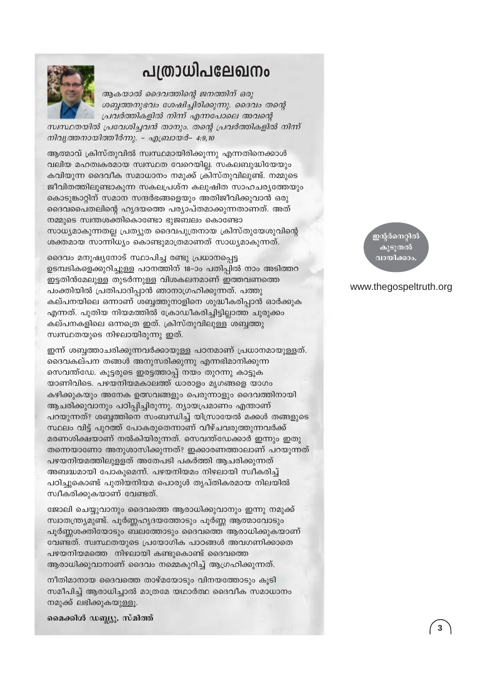### പത്രാധിപലേഖനം



ആകയാൽ ദൈവത്തിന്റെ ജനത്തിന് ഒരു ശബ്ദത്തനുഭവം ശേഷിച്ചിരിക്കുന്നു. ദൈവം തന്റെ പ്രവർത്തികളിൽ നിന്ന് എന്നപോലെ അവന്റെ

സ്വസ്ഥതയിൽ പ്രവേശിച്ചവൻ താനും. തന്റെ പ്രവർത്തികളിൽ നിന്ന് നിവൃത്തനായിത്തീർന്നു. - എബ്രായർ- 4:9,10

ആത്മാവ് ക്രിസ്തുവിൽ സ്വസ്ഥമായിരിക്കുന്നു എന്നതിനെക്കാൾ വലിയ മഹത്വകരമായ സ്വസ്ഥത വേറെയില്ല. സകലബുദ്ധിയേയും കവിയുന്ന ദൈവീക സമാധാനം നമുക്ക് ക്രിസ്തുവിലുണ്ട്. നമ്മുടെ ജീവിതത്തിലുണ്ടാകുന്ന സകലപ്രശ്ന കലുഷിത സാഹചര്യത്തേയും കൊടുങ്കാറ്റിന് സമാന സന്ദർഭങ്ങളെയും അതിജീവിക്കുവാൻ ഒരു ദൈവപൈതലിന്റെ ഹൃദയത്തെ പര്യാപ്തമാക്കുന്നതാണത്. അത് നമ്മുടെ സ്വന്തശക്തികൊണ്ടോ ഭുജബലം കൊണ്ടോ സാധ്യമാകുന്നതല്ല പ്രത്യുത ദൈവപുത്രനായ ക്രിസ്തുയേശുവിന്റെ ശക്തമായ സാന്നിധ്യം കൊണ്ടുമാത്രമാണത് സാധ്യമാകുന്നത്.

ദൈവം മനുഷ്യനോട് സ്ഥാപിച്ച രണ്ടു പ്രധാനപ്പെട്ട ഉടമ്പടികളെക്കുറിച്ചുള്ള പഠനത്തിന് 18-ാം പതിപ്പിൽ നാം അടിത്തറ ഇട്ടതിൻമേലുള്ള തുടർന്നുള്ള വിശകലനമാണ് ഇത്തവണത്തെ പംക്തിയിൽ പ്രതിപാദിപ്പാൻ ഞാനാഗ്രഹിക്കുന്നത്. പത്തു കല്പനയിലെ ഒന്നാണ് ശബ്ബത്തുനാളിനെ ശുദ്ധീകരിപ്പാൻ ഓർക്കുക എന്നത്. പുതിയ നിയമത്തിൽ ക്രോഡീകരിച്ചിട്ടില്ലാത്ത ചുരുക്കം കല്പനകളിലെ ഒന്നത്രെ ഇത്. ക്രിസ്തുവിലുള്ള ശബ്ബത്തു സ്വസ്ഥതയുടെ നിഴലായിരുന്നു ഇത്.

ഇന്ന് ശബ്ദത്താചരിക്കുന്നവർക്കായുള്ള പഠനമാണ് പ്രധാനമായുള്ളത്. ദൈവകല്പന തങ്ങൾ അനുസരിക്കുന്നു എന്നഭിമാനിക്കുന്ന സെവന്ത്ഡേ. കൂട്ടരുടെ ഇരട്ടത്താപ്പ് നയം തുറന്നു കാട്ടുക യാണിവിടെ. പഴയനിയമകാലത്ത് ധാരാളം മൃഗങ്ങളെ യാഗം കഴിക്കുകയും അനേക ഉത്സവങ്ങളും പെരുന്നാളും ദൈവത്തിനായി ആചരിക്കുവാനും പഠിപ്പിച്ചിരുന്നു. ന്യായപ്രമാണം എന്താണ് പറയുന്നത്? ശബ്ദത്തിനെ സംബന്ധിച്ച് യിസ്രായേൽ മക്കൾ തങ്ങളുടെ സ്ഥലം വിട്ട് പുറത്ത് പോകരുതെന്നാണ് വീഴ്ചവരുത്തുന്നവർക്ക് മരണശിക്ഷയാണ് നൽകിയിരുന്നത്. സെവന്ത്ഡേക്കാർ ഇന്നും ഇതു തന്നെയാണോ അനുശാസിക്കുന്നത്? ഇക്കാരണത്താലാണ് പറയുന്നത് പഴയനിയമത്തിലുള്ളത് അതേപടി പകർത്തി ആചരിക്കുന്നത് അബദ്ധമായി പോകുമെന്ന്. പഴയനിയമം നിഴലായി സ്വീകരിച്ച് പഠിച്ചുകൊണ്ട് പുതിയനിയമ പൊരുൾ തൃപ്തികരമായ നിലയിൽ സ്വീകരിക്കുകയാണ് വേണ്ടത്.

ജോലി ചെയ്യുവാനും ദൈവത്തെ ആരാധിക്കുവാനും ഇന്നു നമുക്ക് സ്ഥാതന്ത്ര്യമുണ്ട്. പൂർണ്ണഹൃദയത്തോടും പൂർണ്ണ ആത്മാവോടും പൂർണ്ണശക്തിയോടും ബലത്തോടും ദൈവത്തെ ആരാധിക്കുകയാണ് വേണ്ടത്. സ്വസ്ഥതയുടെ പ്രയോഗിക പാഠങ്ങൾ അവഗണിക്കാതെ പഴയനിയമത്തെ നിഴലായി കണ്ടുകൊണ്ട് ദൈവത്തെ ആരാധിക്കുവാനാണ് ദൈവം നമ്മെകുറിച്ച് ആഗ്രഹിക്കുന്നത്.

നീതിമാനായ ദൈവത്തെ താഴ്മയോടും വിനയത്തോടും കൂടി സമീപിച്ച് ആരാധിച്ചാൽ മാത്രമേ യഥാർത്ഥ ദൈവീക സമാധാനം നമുക്ക് ലഭിക്കുകയുള്ളൂ.

മൈക്കിൾ ഡബ്ല്യു. സ്മിത്ത്

<mark>ഇ</mark>ന്റർനെറ്റിത് കൂടുതൽ വായിക്കാം

#### www.thegospeltruth.org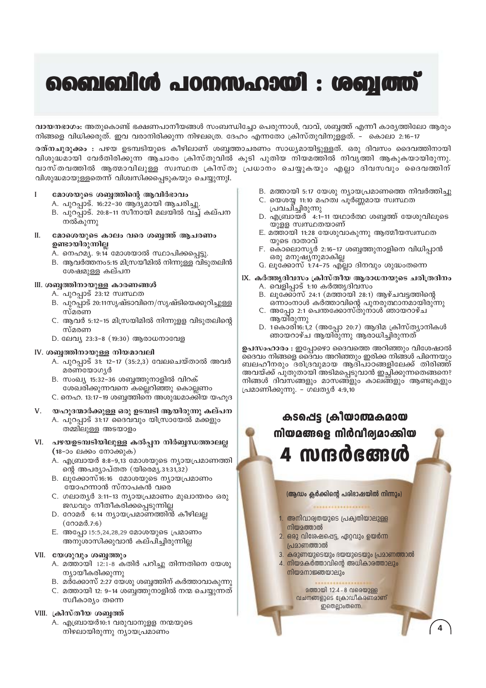## ബൈബിൾ പഠനസഹായി : ശബ്ബത്ത്

വായനഭാഗം: അതുകൊണ്ട് ഭക്ഷണപാനീയങ്ങൾ സംബന്ധിച്ചോ പെരുന്നാൾ, വാവ്, ശബ്ബത്ത് എന്നീ കാരൃത്തിലോ ആരും നിങ്ങളെ വിധിക്കരുത്. ഇവ വരാനിരിക്കുന്ന നിഴലത്രെ. ദേഹം എന്നതോ ക്രിസ്തുവിനുളളത്. – കൊലാ 2:16–17

രത്നചുരുക്കം : പഴയ ഉടമ്പടിയുടെ കീഴിലാണ് ശബ്ബത്താചരണം സാധ്യമായിട്ടുള്ളത്. ഒരു ദിവസം ദൈവത്തിനായി വിശുദ്ധമായി വേർതിരിക്കുന്ന ആചാരം ക്രിസ്തുവിൽ കൂടി പുതിയ നിയമത്തിൽ നിവൃത്തി ആകുകയായിരുന്നു. വാസ്തവത്തിൽ ആത്മാവിലുള്ള സ്വസ്ഥത ക്രിസ്തു പ്രധാനം ചെയ്യുകയും എല്ലാ ദിവസവും ദൈവത്തിന് വിശുദ്ധമായുള്ളതെന്ന് വിശ്വസിക്കപ്പെടുകയും ചെയ്യുന്നുI.

#### മോശയുടെ ശബ്ബത്തിന്റെ ആവിർഭാവം  $\mathbf{I}$

- A. പുറപ്പാട്. 16:22-30 ആദ്യമായി ആചരിച്ചു.
- B. പുറപ്പാട്. 20:8-11 സീനായി മലയിൽ വച്ച് കല്പന നൽകുന്നു
- II. മോശെയുടെ കാലം വരെ ശബ്ബത്ത് ആചരണം ഉണ്ടായിരുന്നില്ല
	- A. നെഹമ്യ. 9:14 മോശയാൽ സ്ഥാപിക്കപ്പെട്ടു.
	- B. ആവർത്തനം5:15 മിസ്രയീമിൽ നിന്നുള്ള വിടുതലിൻ ശേഷമുള്ള കല്പന
- III. ശബ്ബത്തിനായുള്ള കാരണങ്ങൾ
	- A. പുറപ്പാട് 23:12 സ്വസ്ഥത
	-
	- B. പുറപ്പാട് 20:11സൃഷ്ടാവിനെ/സൃഷ്ടിയെക്കുറിച്ചുള്ള സ്മരണ
	- C. ആവർ 5:12-15 മിസ്രയിമിൽ നിന്നുളള വിടുതലിന്റെ സ്മരണ
	- D. ലേവ്യ 23:3-8 (19:30) ആരാധനാവേള

#### IV. ശബ്ദത്തിനായുള്ള നിയമാവലി

- A. പുറപ്പാട് 31: 12−17 (35:2,3) വേലചെയ്താൽ അവർ മരണയോഗൃർ
- B. സംഖ്യ 15:32-36 ശബ്ബത്തുനാളിൽ വിറക് ശേഖരിക്കുന്നവനെ കല്ലെറിഞ്ഞു കൊല്ലണം
- C. നെഹ. 13:17–19 ശബ്ബത്തിനെ അശുദ്ധമാക്കിയ യഹുദ
- യഹൂദന്മാർക്കുള്ള ഒരു ഉടമ്പടി ആയിരുന്നു കല്പന  $V_{\cdot}$ 
	- A. പുറപ്പാട് 31:17 ദൈവവും യിസ്രായേൽ മക്കളും തമ്മിലുള്ള അടയാളം
- VI. പഴയഉടമ്പടിയിലുള്ള കൽപ്പന നിർബ്ബന്ധത്താലല്ല (18-ാം ലക്കം നോക്കുക)
	- A. എബ്രായർ 8:8-9,13 മോശയുടെ ന്യായപ്രമാണത്തി ന്റെ അപര്യാപ്തത (യിരെമ്യ.31:31,32)
	- B. ലുക്കോസ്16:16 മോശയുടെ ന്യായപ്രമാണം യോഹന്നാൻ സ്നാപകൻ വരെ
	- C. ഗലാതൃർ 3:11-13 നൃായപ്രമാണം മുഖാന്തരം ഒരു ജഡവും നീതീകരിക്കപ്പെടുന്നില്ല
	- D. റോമർ 6:14 ന്യായപ്രമാണത്തിൻ കീഴിലല്ല  $($ coo $2d.7:6)$
	- E. അപ്പോ 15:5,24,28,29 മോശയുടെ പ്രമാണം അനുശാസിക്കുവാൻ കല്പിച്ചിരുന്നില്ല

#### VII. യേശുവും ശബ്ബത്തും

- A. മത്തായി 12:1-8 കതിർ പറിച്ചു തിന്നതിനെ യേശു ന്യായീകരിക്കുന്നു
- B. മർക്കോസ് 2:27 യേശു ശബ്ബത്തിന് കർത്താവാകുന്നു
- C. മത്തായി 12: 9-14 ശബ്ബത്തുനാളിൽ നന്മ ചെയ്യുന്നത് സ്വീകാര്യം തന്നെ

#### VIII. ക്രിസ്തീയ ശബ്ബ ന്

A. എബ്രായർ10:1 വരുവാനുളള നന്മയുടെ നിഴലായിരുന്നു ന്യായപ്രമാണം

- B. മത്തായി 5:17 യേശു ന്യായപ്രമാണത്തെ നിവർത്തിച്ചു
- C. യെശയ്യ 11:10 മഹത്വ പൂർണ്ണമായ സ്വസ്ഥത പ്രവചിച്ചിരുന്നു
- D. എബ്രായർ 4:1-11 യഥാർത്ഥ ശബ്ബത്ത് യേശുവിലൂടെ യുള്ള സ്വസ്ഥതയാണ്
- E. മത്തായി 11:28 യേശുവാകുന്നു ആത്മീയസ്വസ്ഥത യുടെ ദാതാവ്
- F. കൊലൊസ്യർ 2:16-17 ശബ്ബത്തുനാളിനെ വിധിപ്പാൻ ഒരു മനുഷൃ്നുമാകില്ല
- G. ലൂക്കോസ് 1:74–75 എ്ലാ ദിനവും ശുദ്ധംതന്നെ
- IX. കർത്തുദിവസം ക്രിസ്തീയ ആരാധനയുടെ ചരിത്രദിനം
	- A. വെളിപ്പാട് 1:10 കർത്ത്യദിവസം
	- B. ലൂക്കോസ് 24:1 (മത്തായി 28:1) ആഴ്ചവട്ടത്തിന്റെ ഒന്നാംനാൾ കർത്താവിന്റെ പുനരുത്ഥാനമായിരുന്നു
	- C. അപോ 2:1 പെന്തക്കോസ്തുനാൾ ഞായറാഴ്ച ആയിരുന്നു
	- D. 1കൊരി16:1,2 (അപ്പോ 20:7) ആദിമ ക്രിസ്ത്യാനികൾ ഞായറാഴ്ച ആയിരുന്നു ആരാധിച്ചിരുന്നത്

ഉപസംഹാരം : ഇപ്പോഴൊ ദൈവത്തെ അറിഞ്ഞും വിശേഷാൽ ദൈവം നിങ്ങളെ ദൈവം അറിഞ്ഞും ഇരിക്ക നിങ്ങൾ പിന്നെയും ബലഹീനരും ദരിദ്രവുമായ ആദിപാഠങ്ങളിലേക്ക് തിരിഞ്ഞ് അവയ്ക്ക് പുതുതായി അടിമപ്പെടുവാൻ ഇച്ഛിക്കുന്നതെങ്ങനെ? നിങ്ങൾ ദിവസങ്ങളും മാസങ്ങളും കാലങ്ങളും ആണ്ടുകളും പ്രമാണിക്കുന്നു. - ഗലത്യർ 4:9,10

## കടപ്പെട്ട ക്രിയാത്മകമായ നിയമങ്ങളെ നിർവീര്യമാക്കിയ 4 സന്ദർഭങ്ങൾ

#### (ആഡം ക്ലർക്കിന്റെ പരിഭാഷയിൽ നിന്നും)

- <u>1. അനിവാര്വതയുടെ പ്രകൃതിയാലുള്ള</u>
- നിയമത്താൽ
- 
- 
- 
- 
- 
- 2. ഒരു വിശേഷപ്പെട്ട, ഏറ്റവും ഉയർന്ന
	- പ്രമാണത്താൽ
- 3. കരുണയുടെയും ദയയുടെയും പ്രമാണത്താൽ
- 4. നിയമകർത്താവിന്റെ അധികാരത്താലും
	- നിയമനാജ്ഞയാലും
- 
- 
- 
- 
- 
- 

വചനങ്ങളുടെ ക്രോഡീകരണമാണ്

ഇതെല്ലാംതന്നെ.

- 
- 
- - -
		-
		- **മത്തായി 12:4-8 വരെയുള്ള**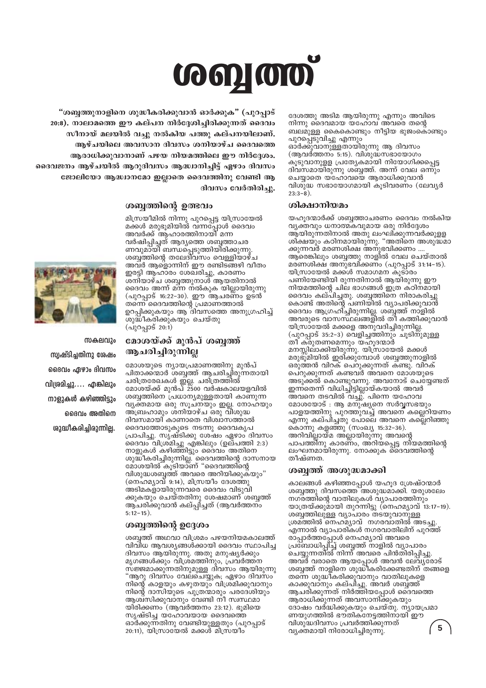# **coon coo**

"ശബ്ദത്തുനാളിനെ ശുദ്ധീകരിക്കുവാൻ ഓർക്കുക" (പുറപാട് 20:8). നാലാമത്തെ ഈ കല്പന നിർദ്ദേശിച്ചിരിക്കുന്നത് ദൈവം സീനായ് മലയിൽ വച്ചു നൽകിയ പത്തു കല്പനയിലാണ്. അഴ്ചയിലെ അവസാന ദിവസം ശനിയാഴ്ച ദൈവത്തെ ആരാധിക്കുവാനാണ് പഴയ നിയമത്തിലെ ഈ നിർദ്ദേശം. ദൈവജനം ആഴ്ചയിൽ ആറുദിവസം ആദ്ധ്വാനിച്ചിട്ട് ഏഴാം ദിവസം ജോലിയോ ആദ്ധ്വാനമോ ഇല്ലാതെ ദൈവത്തിനു വേണ്ടി ആ ദിവസം വേർതിരിച്ചു.

#### ശബ്ദത്തിന്റെ ഉത്ഭവം

മിസ്രയീമിൽ നിന്നു പുറപ്പെട്ട യിസ്രായേൽ മക്കൾ മരുഭൂമിയിൽ വന്നപ്പോൾ ദൈവം അവർക്ക് ആഹാരത്തിനായി മന്ന വർഷിപ്പിച്ചത് ആദ്യത്തെ ശബ്ബത്താചര ണവുമായി ബന്ധപ്പെടുത്തിയിരിക്കുന്നു. ശബ്ബ്തിന്റെ തലേദിവസം വെള്ളിയാഴ്ച അവർ ആളൊന്നിന് ഈ രണ്ടിടങ്ങഴി വീതം ഇരട്ടി ആഹാരം ശേഖരിച്ചു, കാരണം ശനിയാഴ്ച ശബ്ബത്തുനാൾ് ആയതിനാൽ ദൈവം അന്ന് മന്ന നൽകുക യില്ലായിരുന്നു (പുറപ്പാട് 16:22-30). ഈ ആചരണം ഉടൻ തന്നെ ദൈവത്തിന്റെ പ്രമാണത്താൽ ഉറപ്പിക്കുകയും ആ ദിവസത്തെ അനുഗ്രഹിച്ച് ശുദ്ധീകരിക്കുകയും ചെയ്തു  $($ വുറപ്പാട് 20:1)



സകലവും സ്രഷ്ടിചതിനു ശേഷം ദൈവം ഏഴാം ദിവസം വിശ്രമിച്ചു.... എങ്കിലും നാളുകൾ കഴിഞ്ഞിടും ദൈവം അതിനെ **ശുദ്ധീകരിച്ചിരുന്നില്ല.** 

#### മോശയ്ക്ക് മുൻപ് ശബ്ബത് ആചരിച്ചിരുന്നില്ല

മോശയുടെ ന്യായപ്രമാണത്തിനു മുൻപ് പിതാക്കന്മാർ ശബ്ബത്ത് ആചരിച്ചിരുന്നതായി ്ചരിത്രരേഖകൾ ഇല്ല. ചരിത്രത്തിൽ<br>ചരിത്രരേഖകൾ ഇല്ല. ചരിത്രത്തിൽ<br>മോശയ്ക്ക് മുൻപ് 2500 വർഷകാലയളവിൽ ശബ്ദത്തിനെ പ്രധാന്യമുള്ളതായി കാണുന്ന വൃക്തമായ ഒരു സൂചനയും ഇല്ല. നോഹയും അബ്രഹാമും ശനിയാഴ്ച ഒരു വിശുദ്ധ ദിവസമായി് കാണാതെ വിശ്വാസത്താൽ ദൈവത്തോടുകൂടെ നടന്നു ദൈവകൃപ പ്രാപിച്ചു. സൃഷ്ടിക്കു ശേഷം ഏഴാം ദിവസം ദൈവം വിശ്മിച്ചു എങ്കിലും (ഉല്പത്തി 2:3) നാളുകൾ കഴിഞ്ഞിട്ടും ദൈവം അതിനെ ശുദ്ധീകരിച്ചിരുന്നില്ല. ദൈവത്തിന്റെ ദാസനായ<br>മോശയിൽ കൂടിയാണ് "ദൈവത്തിന്റെ വിശുദ്ധശബ്ബത്ത് അവരെ അറിയിക്കുക്യും" (നെഹമ്യാവ് 9:14), മിസ്രയീം ദേശത്തു അടിമകളായിരുന്നവരെ ദൈവം വിടുവി ക്കുകയും ചെയ്തതിനു ശേഷമാണ് ശബ്ദത് ആ്ചരിക്കുവാൻ കല്പ്പിച്ചത് (ആവർത്തന്ം  $5:12-15$ ).

#### ശബ്ദത്തിന്റെ ഉദ്ദേശം

ശബ്ദത്ത് അഥവാ വിശ്രമം പഴയനിയമകാലത്ത് വിവിധ ആവശ്യങ്ങൾക്കായി ദൈവം സ്ഥാപിച്ച ദിവസം ആയിരുന്നു. അതു മനുഷ്യർക്കും മൃഗങ്ങൾക്കും വിശ്രമത്തിനും, പ്രവർത്തന സജ്ജമാക്കുന്നതിനുമുള്ള ദിവസം ആയിരുന്നു "ആറു ദിവസം വേലചെയ്യുക; ഏഴാം ദിവസം നിന്റെ കാളയും കഴുതയും വിശ്രമിക്കുവാനും നിന്റെ ദാസിയുടെ പുത്രന്മാരും പരദേ്ശിയും ആശ്വസിക്കുവാനും വേണ്ടി നീ സ്വസ്ഥമാ യിരിക്കണം (ആവർത്തനം 23:12). ഭൂമിയെ സൃഷ്ടിച്ച യഹോവയായ ദൈവത്തെ ഓർക്കുന്നതിനു വേണ്ടിയുള്ളതും (പുറപ്പാട്  $20:11$ ), യിസ്രായേൽ മക്കൾ മിസ്രയിം

ദേശത്തു അടിമ ആയിരുന്നു എന്നും അവിടെ നിന്നു ദൈവമായ യഹോവ അവരെ തന്റെ ബലമുള്ള കൈകൊണ്ടും നീട്ടിയ ഭുജംകൊണ്ടും പുറപ്പെടുവിച്ചു എന്നും ഓ്ർക്കുവാനുള്ളതായിരുന്നു ആ ദിവസം (ആവർത്തനം 5:15). വിശുദ്ധസഭായോഗം കൂടുവാനുളള പ്രത്യേകമായി നിയോഗിക്കപ്പെട്ട ദിവസമായിരുന്നു ശബ്ബത്ത്. അന്ന് വേല ഒന്നും ചെയ്യാതെ യഹോവയെ ആരാധിക്കുവാൻ വിശുദ്ധ സഭായോഗമായി കൂടിവരണം (ലേവൃർ  $23:3-8$ ).

#### ശിക്ഷാനിയമം

യഹുദന്മാർക്ക് ശബ്ബത്താചരണം ദൈവം നൽകിയ വ്യക്തവും ധനാത്മകവുമായ ഒരു നിർദ്ദേശം ആ്യിരുന്നതിനാൽ അതു ലംഘി്ക്കുന്നവർക്കുളള ശിക്ഷയും കഠിനമായിരുന്നു. "അതിനെ അശുദ്ധമാ ക്കുന്നവര് മരണശിക്ഷ അനുഭവിക്കണം ... ആരെങ്കിലും ശബ്ബത്തു നാളിൽ വേല ചെയ്താൽ മരണശിക്ഷ അനുഭവിക്കണം (പുറപ്പാട് 31:14-15). യിസ്രായേൽ മക്കൾ സമാഗമന കൂടാരം പണിയേണ്ടിയി രുന്നതിനാൽ ആയിരുന്നു ഈ നിയമത്തിന്റെ ചില ഭാഗങ്ങൾ ഇത്ര കഠിനമായി ദൈവം കല്പിച്ചതു. ശബ്ബത്തിനെ നിരാകരിച്ചു കൊണ്ട് അതിന്റെ പണിയിൽ വ്യാപരിക്കുവാൻ ദൈവം ആഗ്രഹി്ച്ചിരുന്നില്ല. ശബ്ബത്ത് നാളിൽ അവരുടെ വാസസ്ഥലങ്ങളിൽ തീ കത്തിക്കുവാൻ യിസ്രായേൽ മക്കളെ അനുവദിച്ചിരുന്നില്ല. (പുറപ്പാട് 35:2-3) വെളിച്ചത്തിനും ചൂടിനുമുള്ള തീ് ക്രുതണമെന്നും യഹുദന്മാർ മനസ്സിലാക്കിയിരുന്നു. യിസ്രായേൽ മക്കൾ മരുഭൂമിയിൽ ഇരിക്കുമ്പോൾ ശബ്ബത്തുനാളിൽ മരുത്തൻ വിറക് പെറുക്കുന്നത് ക്ണ്ടു. വിറക് പെറുക്കുന്നത് കണ്ടവർ അവനെ മോശയുടെ അടുക്കൽ കൊണ്ടുവന്നു. അവനോട് ചെയ്യേണ്ടത് ഇന്നതെന്ന് വിധിച്ചിട്ടില്ലായ്കയാൽ അവർ അവനെ തടവിൽ വച്ചു. പിന്നെ യഹോവ മോശയോട് : ആ മനുഷ്യനെ സർവ്വസഭയും പാളയത്തിനു പുറത്തുവച്ച് അവനെ കല്ലെറിയണം എന്നു കല്പ്പച്ചതു പോലെ അവനെ കല്ലെറിഞ്ഞു കൊന്നു കളഞ്ഞു (സംഖ്യ 15:32-36). അറിവിലായ്മ അലായിരുന്നു അവന്റെ പാപത്തീനു കാരണം, അറിയപ്പെട്ട നിയമത്തിന്റെ ലംഘനമായിരുന്നു. നോക്കുക ദൈവത്തിന്റെ തീഷ്ണത.

#### ശബ്ബത്ത് അശുദ്ധമാക്കി

കാലങ്ങൾ കഴിഞ്ഞപ്പോൾ യഹൂദ ശ്രേഷ്ഠന്മാർ<br>ശബ്ബത്തു ദിവസത്തെ അശുദ്ധമാക്കി. യരുശലേം നഗരത്തിന്റെ വാതിലുകൾ വ്യാപാരത്തിനും യാത്രയ്ക്കുമായി തുറ്ന്നിട്ടു (നെഹമൃാവ് 13:17–19). ശബ്ബത്തിലുള്ള വ്യാപാരം തടയുവാനുള്ള ശ്രമ്ത്തിൽ നെഹമ്യാവ് നഗരവാതിൽ അടച്ചു. എന്നാൽ വ്യാപാരികൾ നഗരവാതിലിന് പുറത്ത് അവർ വരാതെ ആയപ്പോൾ അവൻ ലേവ്യരോട് ശബ്ബത്ത് നാളിനെ ശുദ്ധികരിക്കേണ്ടതിന് തങ്ങളെ തന്നെ ശുദ്ധീകരിക്കുവാനും വാതിലുകളെ കാക്കുവാനും കല്പ്പൂ. അവർ ശബ്ബ് ത് ആചരിക്കുന്നത് നിർത്തിയപ്പോൾ ദൈവത്തെ ആരാധിക്കുന്നത് അവസാനിക്കുകയും ദോഷം വർദ്ധിക്കുകയും ചെയ്തു. ന്യായപ്രമാ ണയുഗത്തിൽ ഭൗ്തിക്നേട്ടത്തിനായി് ഈ വിശുദ്ധദിവസം പ്രവർത്തിക്കുന്നത് 5 വ്യക്തമായി നിരോധിച്ചിരുന്നു.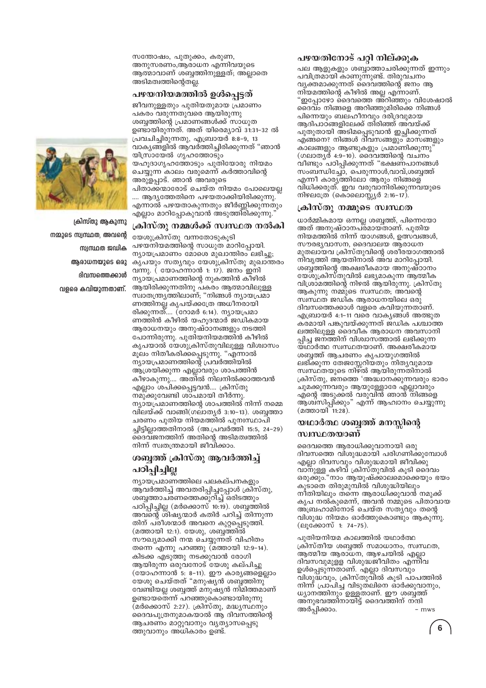സന്തോഷം, പുതുക്കം, കരുണ, അനുസരണം,ആരാധന എന്നിവയുടെ ആത്മാവാണ് ശബ്ബത്തിനുള്ളത്; അല്ലാതെ അടിമത്വത്തിന്റെതല്ല.

#### പഴയനിയമത്തിൽ ഉൾപെട്ടത്

ജീവനുള്ളതും പുതിയതുമായ പ്രമാണം പകരം വരുന്നതുവരെ ആയിരുന്നു ശബ്ദത്തിന്റെ പ്രമാണങ്ങൾക്ക് സാധുത ഉണ്ടായിരുന്നത്. അത് യിരെമ്യാവ് 31:31–32 ൽ പ്രവചിച്ചിരുന്നതു, എബ്രായർ 8:8-9, 13 വാകൃങ്ങളിൽ ആവർത്തിച്ചിരിക്കുന്നത് "ഞാൻ യിസ്രായേൽ ഗൃഹത്തോടും യഹൂദാഗൃഹത്തോടും പുതിയോരു നിയമം ചെയ്യുന്ന കാലം വരുമെന്ന് കർത്താവിന്റെ അരുളപ്പാട്. ഞാൻ അവരുടെ പിതാക്കന്മാരോട് ചെയ്ത നിയമം പോലെയല്ല .... ആദ്യത്തേതിനെ പഴയതാക്കിയിരിക്കുന്നു. എന്നാൽ പഴയതാകുന്നതും ജീർണ്ണിക്കുന്നതും എല്ലാം മാറിപ്പോകുവാൻ അടുത്തിരിക്കുന്നു.

#### ക്രിസ്തു നമ്മൾക്ക് സ്ഥസ്ഥത നൽകി

യേശുക്രിസ്തു വന്നതോടുകുടി പഴയനിയമത്തിന്റെ സാധുത മാറിപ്പോയി. ന്യായപ്രമാണം മോശെ മുഖാന്തിരം ലഭിച്ചു; കൃപയും സത്യവും യേശുക്രിസ്തു മുഖാന്തരം വന്നു. ( യോഹന്നാൻ 1: 17). ജനം ഇനി ന്യായപ്രമാണത്തിന്റെ നുകത്തിൻ കീഴിൽ ആയിരിക്കുന്നതിനു പകരം ആത്മാവിലുള്ള സ്വാതന്ത്ര്യത്തിലാണ്; "നിങ്ങൾ ന്യായപ്രമാ ണത്തിനല്ല കൃപയ്ക്കത്രേ അധീനരായി രിക്കുന്നത്.... (റോമർ 6:14). ന്യായപ്രമാ ണത്തിൻ കീഴിൽ യഹുദന്മാർ ജഡികമായ ആരാധനയും അനുഷ്ഠാനങ്ങളും നടത്തി പോന്നിരുന്നു. പുതിയനിയമത്തിൻ കീഴിൽ കൃപയാൽ യേശുക്രിസ്തുവിലുള്ള വിശ്വാസം മൂലം നിതീകരിക്കപ്പെടുന്നു. "എന്നാൽ ന്യായപ്രമാണത്തിന്റെ പ്രവർത്തിയിൽ ആശ്രയിക്കുന്ന എല്ലാവരും ശാപത്തിൻ കീഴാകുന്നു.... അതിൽ നിലനിൽക്കാത്തവൻ എല്ലാം ശപിക്കപ്പെട്ടവൻ.... ക്രിസ്തു നമു്ക്കുവേണ്ടി ശാപമായി തീർന്നു. ന്യായപ്രമാണത്തിന്റെ ശാപത്തിൽ നിന്ന് നമ്മെ വിലയ്ക്ക് വാങ്ങി(ഗലാതൃർ 3:10–13). ശബ്ബത്താ ചരണം പുതിയ നിയമത്തിൽ പുനഃസ്ഥാപി ച്ചിട്ടില്ലാത്തതിനാൽ (അ.പ്രവർത്തി 15:5, 24-29) ദൈവജനത്തിന് അതിന്റെ അടിമത്വത്തിൽ നിന്ന് സ്വതന്ത്രമായി ജീവിക്കാം.

#### ശബ്ബത് ക്രിസ്തു ആവർത്തിച്ച് പഠിപ്പിച്ചില്ല

ന്യായപ്രമാണത്തിലെ പലകല്പനകളും ആവർത്തിച്ച് അവതരിപ്പിച്ചപ്പോൾ ക്രിസ്തു, ശബത്താചരണത്തെക്കുറിച്ച് ഒരിടത്തും പഠിപ്പിച്ചില്ല (മർക്കൊസ് 10:19). ശബ്ബത്തിൽ അവന്റെ ശിഷ്യന്മാർ കതിർ പറിച്ച് തിന്നുന്ന തിന് പരീശന്മാർ അവനെ കുറ്റപ്പെടുത്തി. (മത്തായി 12:1). യേശു, ശബ്ബത്തിൽ സൗഖ്യമാക്കി നന്മ ചെയ്യുന്നത് വിഹിതം തന്നെ എന്നു പറഞ്ഞു (മത്തായി 12:9-14). കിടക്ക എടുത്തു നടക്കുവാൻ രോഗി ആയിരുന്ന ഒരുവനോട് യേശു കല്പിച്ചു (യോഹന്നാൻ 5: 8–11). ഈ കാര്യങ്ങളെല്ലാം യേശു ചെയ്തത് "മനുഷ്യൻ ശബ്ബനു വേണ്ടിയല്ല ശബ്ബത് മനുഷ്യൻ നിമിത്തമാണ് ഉണ്ടായതെ്ന്ന് പറഞ്ഞുകൊണ്ടായിരുന്നു (മർക്കൊസ് 2:27). ക്രിസ്തു, മദ്ധ്യസ്ഥനും ദൈവപുത്രനുമാകയാൽ ആ ദിവസത്തിന്റെ ആചരണം മാറ്റുവാനും വൃത്യാസപ്പെടു ത്തുവാനും അധികാരം ഉണ്ട്.

#### പഴയതിനോട് പറ്റി നില്ക്കുക

പല ആളുകളും ശബ്ബാത്താചരിക്കുന്നത് ഇന്നും പവിത്രമായി കാണുന്നുണ്ട്. തിരുവചനം വൃക്തമാക്കുന്നത് ദൈവത്തിന്റെ ജനം ആ നിയമത്തിന്റെ കീഴിൽ അല്ല എന്നാണ്. "ഇപ്പോഴോ ദൈവത്തെ അ്റിഞ്ഞും വിശേഷാൽ ദൈവം നിങ്ങളെ അറിഞ്ഞുമിരിക്കെ നിങ്ങൾ പിന്നെയും ബലഹീനവും ദരിദ്രവുമായ ആദിപാഠങ്ങളിലേക്ക് തിരിഞ്ഞ് അവയ്ക്ക് പുതുതായി അടിമപ്പെടുവാൻ ഇച്ഛിക്കുന്നത് <u>എങ്ങനെ നിങ്ങൾ ദിവസങ്ങളു</u>ം മാസങ്ങളും കാലങ്ങളും ആണ്ടുകളും പ്രമാണിക്കുന്നു' (ഗലാതൃര് 4:9-10). ദൈവത്തിന്റെ വചനം വീണ്ടും പഠിപ്പിക്കുന്നത് "ഭക്ഷണപാനങ്ങൾ സംബന്ധിച്ചോ, പെരുന്നാൾ,വാവ്,ശബ്ബത്ത് എന്നീ കാര്യത്തിലോ ആരും നിങ്ങളെ വിധിക്കരുത്. ഇവ വരുവാനിരിക്കുന്നവയുടെ നിഴലത്രേ (കൊലൊസ്സ്യർ 2:16-17).

#### ക്രിസ്തു നമ്മുടെ സ്വസ്ഥത

ധാർമ്മികമായ ഒന്നല്ല ശബ്ബത്ത്, പിന്നെയോ അത് അനുഷ്ഠാനപ്രമായ്താണ്. പുതിയ നിയമത്തിൽ നിന്ന് യാഗങ്ങൾ, ഉത്സവങ്ങൾ, സൗരഭ്യവാസന, ദൈവാലയ ആരാധന മുതലായവ ക്രിസ്തുവിന്റെ ശരീരയാഗത്താൽ നിവൃത്തി ആയതിനാൽ അവ മാറിപ്പോയി. ശബ്ദ്തിന്റെ അക്ഷരീകമായ അനുഷ്ഠാനം യേശുക്രിസ്തുവിൽ ലഭ്യമാകുന്ന ആത്മീക വിശ്രാമത്തിന്റെ നിഴൽ ആയിരുന്നു. ക്രിസ്തു ആകുന്നു നമ്മ്യടെ സ്വസ്ഥത; അവന്റെ സ്വസ്ഥത് ജഡിക ആരാധനയിലെ ഒരു ദിവസത്തെക്കാൾ വളരെ കവിയുന്നതാണ്. എബ്രായർ 4:1-11 വരെ വാകൃങ്ങൾ അത്ഭുത കരമായി പങ്കുവയ്ക്കുന്നത് ജഡിക പശ്ചാത്ത ലത്തിലുള്ള ദൈവീക ആരാധന അവസാനി പ്പിച്ച ജന്ത്തിന് വിശ്വാസ്ത്താൽ ലഭിക്കുന്ന യ്ഥാർത്ഥ സ്വസ്ഥതയാണ്. അക്ഷരീകമായ ശബ്ദത്ത് ആചരണം കൃപായുഗത്തിൽ ലഭി്ക്കുന്ന തേജസ്സേറിയതും നിതൃവുമായ സ്വസ്ഥതയുടെ നിഴ്ൽ ആയിരുന്നതിനാൽ ക്രിസ്തു, ജനത്തെ 'അദ്ധ്വാനക്കുന്നവരും ഭാരം ചുമക്കുന്നവരും ആയുള്ളോരേ എല്ലാവരും എന്റെ അടുക്കൽ വരുവിൻ ഞാൻ നിങ്ങളെ ആശിസിപ്പിക്കും" എന്ന് ആഹ്വാനം ചെയ്യുന്നു (മത്തായി  $11:28$ ).

#### യഥാർത്ഥ ശബ്ബത്ത് മനസ്സിന്റെ സ്ഥനമയാണ്

ദൈവത്തെ ആരാധിക്കുവാനായി ഒരു ദിവസത്തെ വിശുദ്ധമായി പരിഗണിക്കുമ്പോൾ എല്ലാ ദിവസവും വിശുദ്ധമായി ജീവിക്കു വാനുള്ള കഴിവ് ക്രിസ്തുവിൽ കൂടി ദൈവം ഒരുക്കും."നാം ആയുഷ്ക്കാലമൊക്കെയും ഭയം കൂടാതെ തിരുമുമ്പിൽ വിശുദ്ധിയിലും നീതിയിലും തന്നെ ആരാധിക്കുവാൻ നമുക്ക് കൃപ നൽകുമെന്ന്, അവൻ നമ്മുടെ പിതാവായ .<br>അബ്രഹാമിനോട് ചെയ്ത സതൃവും തന്റെ വിശുദ്ധ നിയമം ഓർത്തുകൊണ്ടും ആകുന്നു. (ലുക്കോസ് 1: 74-75).

പുതിയനിയമ കാലത്തിൽ യഥാർത്ഥ ക്രിസ്തീയ ശബ്ബത്ത് സമാധാനം, സ്വസ്ഥത, ആത്മീയ ആരാധന, ആഴചയിൽ എല്ലാ ദിവസവുമുള്ള വിശുദ്ധജീവിതം എന്നിവ ഉൾപ്പെടുന്നതാണ്. എല്ലാ ദിവസവും വിശുദ്ധവും, ക്രിസ്തുവിൽ കൂടി പാപത്തിൽ നിന്ന് പ്രാപിച്ച വിടുതലിനെ ഓർക്കുവാനും, ധ്യാനത്തിനും ഉള്ളതാണ്. ഈ ശബ്ദ്രത് അ്നുഭവത്തിനായിട്ട് ദൈവത്തിന് നന്ദി അർപ്പിക്കാം. - mws



ക്രിസ്തു ആകുന്നു നമ്മുടെ സ്വസ്ഥത, അവന്റെ സ്വസ്ഥത ജഡിക ആരാധനയുടെ ഒരു ദിവസത്തെക്കാൾ

വളരെ കവിയുന്നതാണ്.

6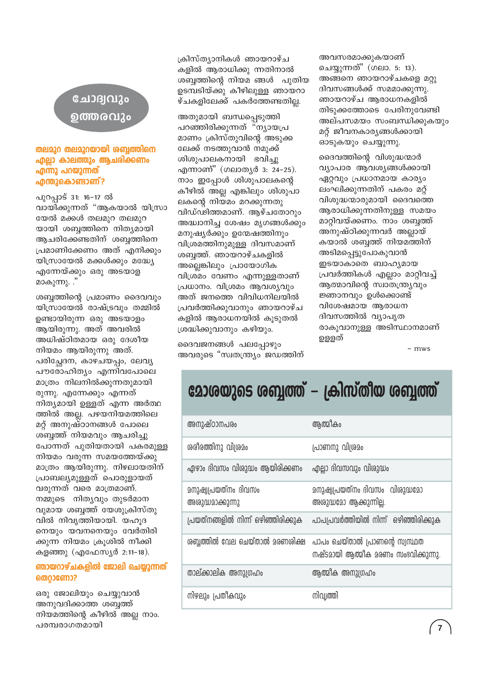#### ചോദ്വവും ൭ത്തരവും

#### തലമുറ തലമുറയായി ശബ്ബത്തിനെ <u>എല്ലാ കാലത്തും ആചരിക്കണം</u> എന്നു പറയുന്നത് എന്തുകൊണ്ടാണ്?

പുറപ്പാട് 31: 16-17 ൽ വായിക്കുന്നത് "ആകയാൽ യിസ്രാ യേൽ മക്കൾ തലമുറ തലമുറ യായി ശബ്ബത്തിനെ നിത്യമായി ആചരിക്കേണ്ടതിന് ശബ്ബത്തിനെ പ്രമാണിക്കേണം അത് എനിക്കും യിസ്രായേൽ മക്കൾക്കും മദ്ധ്യേ എന്നേയ്ക്കും ഒരു അടയാള മാകുന്നു. ."

ശബ്ബത്തിന്റെ പ്രമാണം ദൈവവും യിസ്രായേൽ രാഷ്ട്രവും തമ്മിൽ ഉണ്ടായിരുന്ന ഒരു അടയാളം ആയിരുന്നു. അത് അവരിൽ അധിഷ്ഠിതമായ ഒരു ദേശീയ നിയമം ആയിരുന്നു അത്. പരിച്ഛേദന, കാഴചയപ്പം, ലേവൃ പൗരോഹിത്യം എന്നിവപോലെ മാത്രം നിലനിൽക്കുന്നതുമായി രുന്നു. എന്നേക്കും എന്നത് നിത്യമായി ഉള്ളത് എന്ന അർത്ഥ ത്തിൽ അല്ല. പഴയനിയമത്തിലെ മറ്റ് അനുഷ്ഠാനങ്ങൾ പോലെ ശബ്ബത്ത് നിയമവും ആചരിച്ചു പോന്നത് പുതിയതായി പകരമുള്ള നിയമം വരുന്ന സമയത്തേയ്ക്കു മാത്രം ആയിരുന്നു. നിഴലായതിന് പ്രാബല്യമുള്ളത് പൊരുളായത് വരുന്നത് വരെ മാത്രമാണ്. നമ്മുടെ നിത്യവും തുടർമാന വുമായ ശബ്ബത്ത് യേശുക്രിസ്തു വിൽ നിവൃത്തിയായി. യഹൂദ നെയും യവനനെയും വേർതിരി ക്കുന്ന നിയമം ക്രുശിൽ നീക്കി കളഞ്ഞു (എഫേസ്യർ 2:11-18).

#### ഞായറാഴ്ചകളിൽ ജോലി ചെയ്യുന്നത് **തെറാണോ?**

ഒരു ജോലിയും ചെയ്യുവാൻ അനുവദിക്കാത്ത ശബ്ബത്ത് നിയമത്തിന്റെ കീഴിൽ അല്ല നാം. പരമ്പരാഗതമായി

ക്രിസ്ത്യാനികൾ ഞായറാഴ്ച കളിൽ ആരാധിക്കു ന്നതിനാൽ ശബ്ദത്തിന്റെ നിയമ ങ്ങൾ പുതിയ ഉടമ്പടിയ്ക്കു കീഴിലുള്ള ഞായറാ ഴ്ചകളിലേക്ക് പകർത്തേണ്ടതില്ല.

അതുമായി ബന്ധപ്പെടുത്തി പറഞ്ഞിരിക്കുന്നത് "ന്യായപ്ര മാണം ക്രിസ്തുവിന്റെ അടുക്ക ലേക്ക് നടത്തുവാൻ നമുക്ക് ശിശുപാലകനായി ഭവിച്ചു എന്നാണ്" (ഗലാതൃർ 3: 24-25). നാം ഇപ്പോൾ ശിശുപാലകന്റെ കീഴിൽ അല്ല എങ്കിലും ശിശുപാ ലകന്റെ നിയമം മറക്കുന്നതു വിഡ്ഢിത്തമാണ്. ആഴ്ചതോറും അദ്ധ്വാനിച്ച ശേഷം മൃഗങ്ങൾക്കും മനുഷ്യർക്കും ഉന്മേഷത്തിനും വിശ്രമത്തിനുമുള്ള ദിവസമാണ് ശബ്ബത്ത്. ഞായറാഴ്ചകളിൽ അലെങ്കിലും പ്രായോഗിക വിശ്രമം വേണം എന്നുള്ളതാണ് പ്രധാനം. വിശ്രമം ആവശ്യവും അത് ജനത്തെ വിവിധനിലയിൽ പ്രവർത്തിക്കുവാനും ഞായറാഴ്ച കളിൽ ആരാധനയിൽ കൂടുതൽ ശ്രദ്ധിക്കുവാനും കഴിയും.

ദൈവജനങ്ങൾ പലപ്പോഴും അവരുടെ "സ്വതന്ത്ര്യം ജഡത്തിന് അവസരമാക്കുകയാണ് ചെയ്യുന്നത്" (ഗലാ. 5: 13). അങ്ങനെ ഞായറാഴ്ചകളെ മറ്റു ദിവസങ്ങൾക്ക് സമമാക്കുന്നു. ഞായറാഴ്ച ആരാധനകളിൽ തിടുക്കത്തോടെ പേരിനുവേണ്ടി അല്പസമയം സംബന്ധിക്കുകയും മറ്റ് ജീവനകാര്യങ്ങൾക്കായി ഓടുകയും ചെയ്യുന്നു.

ദൈവത്തിന്റെ വിശുദ്ധന്മാർ വ്യാപാര ആവശ്യങ്ങൾക്കായി ഏറ്റവും പ്രധാനമായ കാര്യം ലംഘിക്കുന്നതിന് പകരം മറ്റ് വിശുദ്ധന്മാരുമായി ദൈവത്തെ ആരാധിക്കുന്നതിനുള്ള സമയം മാറ്റിവയ്ക്കണം. നാം ശബ്ബത്ത് അനുഷ്ഠിക്കുന്നവർ അല്ലായ് കയാൽ ശബ്ബത്ത് നിയമത്തിന് അടിമപ്പെട്ടുപോകുവാൻ ഇടയാകാതെ ബാഹ്യമായ പ്രവർത്തികൾ എല്ലാം മാറ്റിവച്ച് ആത്മാവിന്റെ സ്വാതന്ത്ര്യവും ജ്ഞാനവും ഉൾക്കൊണ്ട് വിശേഷമായ ആരാധന ദിവസത്തിൽ വ്യാപൃത രാകുവാനുള്ള അടിസ്ഥാനമാണ് ഉളളത്

 $-$  mws

## മോരയുടെ ശബ്ബത്ത് – ക്രിസ്തീയ ശബ്ബത്ത്

| അനുഷ്ഠാനപരം                                     | ആത്മീകം                                                               |  |  |
|-------------------------------------------------|-----------------------------------------------------------------------|--|--|
| ശരീരത്തിനു വിശ്രമം                              | പ്രാണനു വിശ്രമം                                                       |  |  |
| ഏഴാം ദിവസം വിശുദ്ധം ആയിരിക്കണം                  | എല്ലാ ദിവസവും വിശുദ്ധം                                                |  |  |
| <u>മനുഷ്വപ്രയത്നം ദിവസം</u><br>അശുദ്ധമാക്കുന്നു | മനുഷ്വപ്രയത്നം ദിവസം വിശുദ്ധമോ<br>അശുദ്ധമോ ആക്കുന്നില്ല.              |  |  |
| പ്രയത്നങ്ങളിൽ നിന്ന് ഒഴിഞ്ഞിരിക്കുക             | പാപപ്രവർത്തിയിൽ നിന്ന് ഒഴിഞ്ഞിരിക്കുക                                 |  |  |
| ശബ്ദത്തിൽ വേല ചെയ്താൽ മരണശിക്ഷ                  | പാപം ചെയ്താൽ പ്രാണന്റെ സ്വസ്ഥത<br>നഷ്ടമായി ആത്മീക മരണം സംഭവിക്കുന്നു. |  |  |
| താല്ക്കാലിക അനുഗ്രഹം                            | ആത്മീക അനുഗ്രഹം                                                       |  |  |
| നിഴലും പ്രതീകവും                                | നിവ്വത്തി                                                             |  |  |